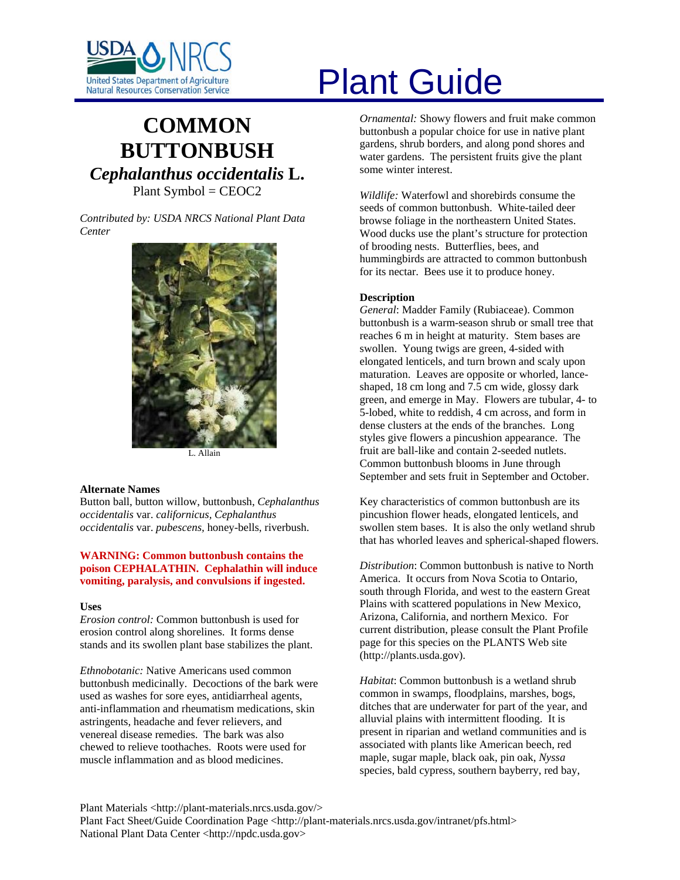

# **COMMON BUTTONBUSH** *Cephalanthus occidentalis* **L.** Plant Symbol = CEOC2

*Contributed by: USDA NRCS National Plant Data Center* 



L. Allain

#### **Alternate Names**

Button ball, button willow, buttonbush, *Cephalanthus occidentalis* var. *californicus, Cephalanthus occidentalis* var. *pubescens,* honey-bells, riverbush.

# **WARNING: Common buttonbush contains the poison CEPHALATHIN. Cephalathin will induce vomiting, paralysis, and convulsions if ingested.**

#### **Uses**

*Erosion control:* Common buttonbush is used for erosion control along shorelines. It forms dense stands and its swollen plant base stabilizes the plant.

*Ethnobotanic:* Native Americans used common buttonbush medicinally. Decoctions of the bark were used as washes for sore eyes, antidiarrheal agents, anti-inflammation and rheumatism medications, skin astringents, headache and fever relievers, and venereal disease remedies. The bark was also chewed to relieve toothaches. Roots were used for muscle inflammation and as blood medicines.

# United States Department of Agriculture<br>Natural Resources Conservation Service

*Ornamental:* Showy flowers and fruit make common buttonbush a popular choice for use in native plant gardens, shrub borders, and along pond shores and water gardens. The persistent fruits give the plant some winter interest.

*Wildlife:* Waterfowl and shorebirds consume the seeds of common buttonbush. White-tailed deer browse foliage in the northeastern United States. Wood ducks use the plant's structure for protection of brooding nests. Butterflies, bees, and hummingbirds are attracted to common buttonbush for its nectar. Bees use it to produce honey.

#### **Description**

*General*: Madder Family (Rubiaceae). Common buttonbush is a warm-season shrub or small tree that reaches 6 m in height at maturity. Stem bases are swollen. Young twigs are green, 4-sided with elongated lenticels, and turn brown and scaly upon maturation. Leaves are opposite or whorled, lanceshaped, 18 cm long and 7.5 cm wide, glossy dark green, and emerge in May. Flowers are tubular, 4- to 5-lobed, white to reddish, 4 cm across, and form in dense clusters at the ends of the branches. Long styles give flowers a pincushion appearance. The fruit are ball-like and contain 2-seeded nutlets. Common buttonbush blooms in June through September and sets fruit in September and October.

Key characteristics of common buttonbush are its pincushion flower heads, elongated lenticels, and swollen stem bases. It is also the only wetland shrub that has whorled leaves and spherical-shaped flowers.

*Distribution*: Common buttonbush is native to North America. It occurs from Nova Scotia to Ontario, south through Florida, and west to the eastern Great Plains with scattered populations in New Mexico, Arizona, California, and northern Mexico. For current distribution, please consult the Plant Profile page for this species on the PLANTS Web site (http://plants.usda.gov).

*Habitat*: Common buttonbush is a wetland shrub common in swamps, floodplains, marshes, bogs, ditches that are underwater for part of the year, and alluvial plains with intermittent flooding. It is present in riparian and wetland communities and is associated with plants like American beech, red maple, sugar maple, black oak, pin oak, *Nyssa* species, bald cypress, southern bayberry, red bay,

Plant Materials <http://plant-materials.nrcs.usda.gov/> Plant Fact Sheet/Guide Coordination Page <http://plant-materials.nrcs.usda.gov/intranet/pfs.html> National Plant Data Center <http://npdc.usda.gov>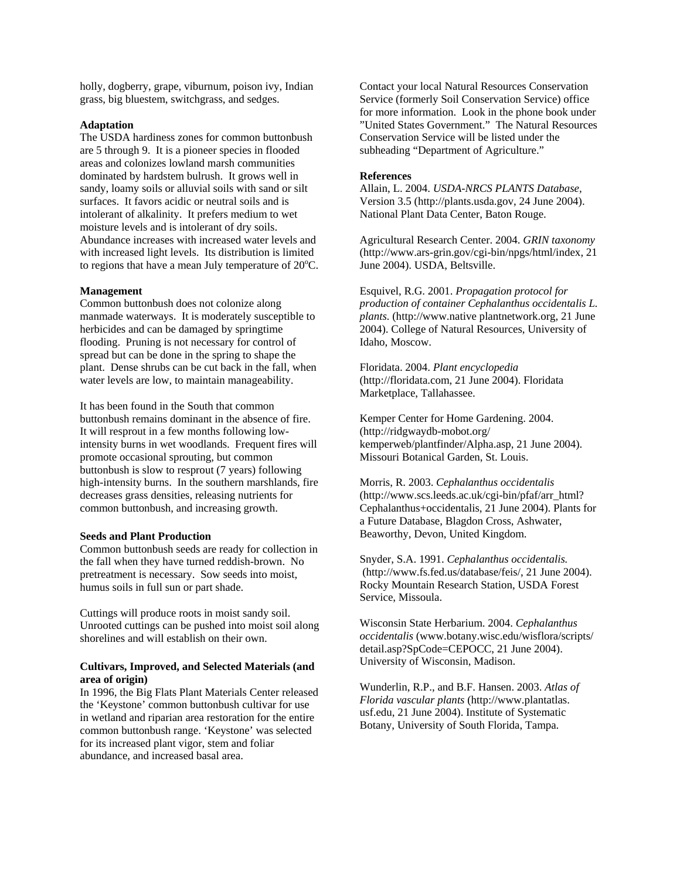holly, dogberry, grape, viburnum, poison ivy, Indian grass, big bluestem, switchgrass, and sedges.

#### **Adaptation**

The USDA hardiness zones for common buttonbush are 5 through 9. It is a pioneer species in flooded areas and colonizes lowland marsh communities dominated by hardstem bulrush. It grows well in sandy, loamy soils or alluvial soils with sand or silt surfaces. It favors acidic or neutral soils and is intolerant of alkalinity. It prefers medium to wet moisture levels and is intolerant of dry soils. Abundance increases with increased water levels and with increased light levels. Its distribution is limited to regions that have a mean July temperature of  $20^{\circ}$ C.

#### **Management**

Common buttonbush does not colonize along manmade waterways. It is moderately susceptible to herbicides and can be damaged by springtime flooding. Pruning is not necessary for control of spread but can be done in the spring to shape the plant. Dense shrubs can be cut back in the fall, when water levels are low, to maintain manageability.

It has been found in the South that common buttonbush remains dominant in the absence of fire. It will resprout in a few months following lowintensity burns in wet woodlands. Frequent fires will promote occasional sprouting, but common buttonbush is slow to resprout (7 years) following high-intensity burns. In the southern marshlands, fire decreases grass densities, releasing nutrients for common buttonbush, and increasing growth.

#### **Seeds and Plant Production**

Common buttonbush seeds are ready for collection in the fall when they have turned reddish-brown. No pretreatment is necessary. Sow seeds into moist, humus soils in full sun or part shade.

Cuttings will produce roots in moist sandy soil. Unrooted cuttings can be pushed into moist soil along shorelines and will establish on their own.

## **Cultivars, Improved, and Selected Materials (and area of origin)**

In 1996, the Big Flats Plant Materials Center released the 'Keystone' common buttonbush cultivar for use in wetland and riparian area restoration for the entire common buttonbush range. 'Keystone' was selected for its increased plant vigor, stem and foliar abundance, and increased basal area.

Contact your local Natural Resources Conservation Service (formerly Soil Conservation Service) office for more information. Look in the phone book under "United States Government." The Natural Resources Conservation Service will be listed under the subheading "Department of Agriculture."

#### **References**

Allain, L. 2004. *USDA-NRCS PLANTS Database,*  Version 3.5 (http://plants.usda.gov, 24 June 2004). National Plant Data Center, Baton Rouge.

Agricultural Research Center. 2004. *GRIN taxonomy*  (http://www.ars-grin.gov/cgi-bin/npgs/html/index, 21 June 2004). USDA, Beltsville.

Esquivel, R.G. 2001. *Propagation protocol for production of container Cephalanthus occidentalis L. plants.* (http://www.native plantnetwork.org, 21 June 2004). College of Natural Resources, University of Idaho, Moscow.

Floridata. 2004. *Plant encyclopedia* (http://floridata.com, 21 June 2004). Floridata Marketplace, Tallahassee.

Kemper Center for Home Gardening. 2004. (http://ridgwaydb-mobot.org/ kemperweb/plantfinder/Alpha.asp, 21 June 2004). Missouri Botanical Garden, St. Louis.

Morris, R. 2003. *Cephalanthus occidentalis* (http://www.scs.leeds.ac.uk/cgi-bin/pfaf/arr\_html? Cephalanthus+occidentalis, 21 June 2004). Plants for a Future Database, Blagdon Cross, Ashwater, Beaworthy, Devon, United Kingdom.

Snyder, S.A. 1991. *Cephalanthus occidentalis.*  (http://www.fs.fed.us/database/feis/, 21 June 2004). Rocky Mountain Research Station, USDA Forest Service, Missoula.

Wisconsin State Herbarium. 2004. *Cephalanthus occidentalis* (www.botany.wisc.edu/wisflora/scripts/ detail.asp?SpCode=CEPOCC, 21 June 2004). University of Wisconsin, Madison.

Wunderlin, R.P., and B.F. Hansen. 2003. *Atlas of Florida vascular plants* (http://www.plantatlas. usf.edu, 21 June 2004). Institute of Systematic Botany, University of South Florida, Tampa.